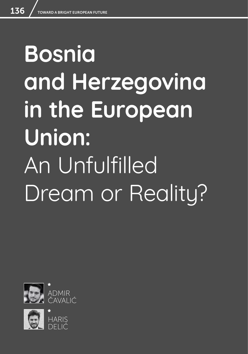# **Bosnia and Herzegovina in the European Union:**  An Unfulfilled Dream or Reality?



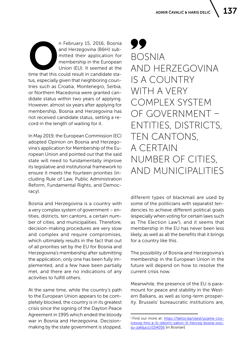**OPEN CONCRETE 15, 2016, Bosnia**<br>
and Herzegovina (B&H) sub-<br>
mitted their application for<br>
membership in the European<br>
Union (EU). It seemed at the<br>
time that this could result in candidate staand Herzegovina (B&H) submitted their application for membership in the European Union (EU). It seemed at the tus, especially given that neighboring countries such as Croatia, Montenegro, Serbia, or Northern Macedonia were granted candidate status within two years of applying. However, almost six years after applying for membership, Bosnia and Herzegovina has not received candidate status, setting a record in the length of waiting for it.

In May 2019, the European Commission (EC) adopted Opinion on Bosnia and Herzegovina's application for Membership of the European Union and pointed out that the said state will need to fundamentally improve its legislative and institutional framework to ensure it meets the fourteen priorities (including Rule of Law, Public Administration Reform, Fundamental Rights, and Democracy).

Bosnia and Herzegovina is a country with a very complex system of government – entities, districts, ten cantons, a certain number of cities, and municipalities. Therefore, decision-making procedures are very slow and complex and require compromises, which ultimately results in the fact that out of all priorities set by the EU for Bosnia and Herzegovina's membership after submitting the application, only one has been fully implemented, and a few have been partially met, and there are no indications of any activities to fulfill others.

At the same time, while the country's path to the European Union appears to be completely blocked, the country is in its greatest crisis since the signing of the Dayton Peace Agreement in 1995 which ended the bloody war in Bosnia and Herzegovina. Decisionmaking by the state government is stopped,

99 BOSNIA AND HERZEGOVINA IS A COUNTRY WITH A VERY COMPLEX SYSTEM OF GOVERNMENT – ENTITIES, DISTRICTS, TEN CANTONS, A CERTAIN NUMBER OF CITIES, AND MUNICIPALITIES

different types of blackmail are used by some of the politicians with separatist tendencies to achieve different political goals (especially when voting for certain laws such as The Election Law<sup>1</sup>), and it seems that membership in the EU has never been less likely, as well as all the benefits that it brings for a country like this.

The possibility of Bosnia and Herzegovina's membership in the European Union in the future will depend on how to resolve the current crisis now.

Meanwhile, the presence of the EU is paramount for peace and stability in the Western Balkans, as well as long-term prosperity. Brussels' bureaucratic institutions are,

<sup>1</sup> Find out more at: [https://faktor.ba/vijest/ucjene-cov](https://faktor.ba/vijest/ucjene-covicevog-hns-a-ili-izborni-zakon-ili-herceg-bosna-ovo-su-zakljucci/154056)[icevog-hns-a-ili-izborni-zakon-ili-herceg-bosna-ovo](https://faktor.ba/vijest/ucjene-covicevog-hns-a-ili-izborni-zakon-ili-herceg-bosna-ovo-su-zakljucci/154056)[su-zakljucci/154056](https://faktor.ba/vijest/ucjene-covicevog-hns-a-ili-izborni-zakon-ili-herceg-bosna-ovo-su-zakljucci/154056) [in Bosnian]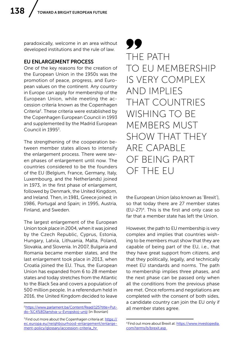paradoxically, welcome in an area without developed institutions and the rule of law.

## EU ENLARGEMENT PROCESS

One of the key reasons for the creation of the European Union in the 1950s was the promotion of peace, progress, and European values on the continent. Any country in Europe can apply for membership of the European Union, while meeting the accession criteria known as the Copenhagen Criteria<sup>2</sup>. These criteria were established by the Copenhagen European Council in 1993 and supplemented by the Madrid European Council in 1995<sup>3</sup>.

The strengthening of the cooperation between member states allows to intensify the enlargement process. There were seven phases of enlargement until now. The countries considered to be the founders of the EU (Belgium, France, Germany, Italy, Luxembourg, and the Netherlands) joined in 1973, in the first phase of enlargement, followed by Denmark, the United Kingdom, and Ireland. Then, in 1981, Greece joined; in 1986, Portugal and Spain; in 1995, Austria, Finland, and Sweden.

The largest enlargement of the European Union took place in 2004, when it was joined by the Czech Republic, Cyprus, Estonia, Hungary, Latvia, Lithuania, Malta, Poland, Slovakia, and Slovenia. In 2007, Bulgaria and Romania became member states, and the last enlargement took place in 2013, when Croatia joined the EU. Thus, the European Union has expanded from 6 to 28 member states and today stretches from the Atlantic to the Black Sea and covers a population of 500 million people. In a referendum held in 2016, the United Kingdom decided to leave

99 THE PATH TO EU MEMBERSHIP IS VERY COMPLEX AND IMPLIES THAT COUNTRIES WISHING TO BE MEMBERS MUST SHOW THAT THEY ARE CAPABLE OF BEING PART OF THE EU

the European Union (also known as 'Brexit'), so that today there are 27 member states (EU-27)4. This is the first and only case so far that a member state has left the Union.

However, the path to EU membership is very complex and implies that countries wishing to be members must show that they are capable of being part of the EU, i.e., that they have great support from citizens, and that they politically, legally, and technically meet EU standards and norms. The path to membership implies three phases, and the next phase can be passed only when all the conditions from the previous phase are met. Once reforms and negotiations are completed with the consent of both sides, a candidate country can join the EU only if all member states agree.

<sup>2</sup> [https://www.parlament.ba/Content/Read/125?title=Put](https://www.parlament.ba/Content/Read/125?title=Put-do-%C4%8Dlanstva-u-Evropskoj-uniji)[do-%C4%8Dlanstva-u-Evropskoj-uniji](https://www.parlament.ba/Content/Read/125?title=Put-do-%C4%8Dlanstva-u-Evropskoj-uniji) [in Bosnian]

<sup>&</sup>lt;sup>3</sup> Find out more about the Copenhagen criteria at: [https://](https://ec.europa.eu/neighbourhood-enlargement/enlargement-policy/glossary/accession-criteria_hr ) [ec.europa.eu/neighbourhood-enlargement/enlarge](https://ec.europa.eu/neighbourhood-enlargement/enlargement-policy/glossary/accession-criteria_hr )[ment-policy/glossary/accession-criteria\\_hr](https://ec.europa.eu/neighbourhood-enlargement/enlargement-policy/glossary/accession-criteria_hr ) 

<sup>4</sup> Find out more about Brexit at: [https://www.investopedia.](https://www.investopedia.com/terms/b/brexit.asp ) [com/terms/b/brexit.asp](https://www.investopedia.com/terms/b/brexit.asp )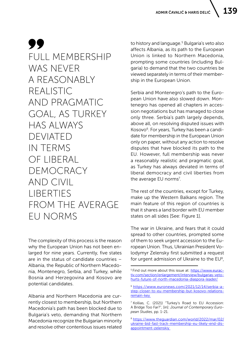99 FULL MEMBERSHIP WAS NEVER A REASONABLY REALISTIC AND PRAGMATIC GOAL, AS TURKEY HAS ALWAYS DEVIATED IN TERMS OF LIBERAL DEMOCRACY AND CIVIL LIBERTIES FROM THE AVERAGE EU NORMS

The complexity of this process is the reason why the European Union has not been enlarged for nine years. Currently, five states are in the status of candidate countries – Albania, the Republic of Northern Macedonia, Montenegro, Serbia, and Turkey, while Bosnia and Herzegovina and Kosovo are potential candidates.

Albania and Northern Macedonia are currently closest to membership, but Northern Macedonia's path has been blocked due to Bulgaria's veto, demanding that Northern Macedonia recognize the Bulgarian minority and resolve other contentious issues related

to history and language.<sup>5</sup> Bulgaria's veto also affects Albania, as its path to the European Union is linked to Northern Macedonia, prompting some countries (including Bulgaria) to demand that the two countries be viewed separately in terms of their membership in the European Union.

Serbia and Montenegro's path to the European Union have also slowed down. Montenegro has opened all chapters in accession negotiations but has managed to close only three. Serbia's path largely depends, above all, on resolving disputed issues with Kosovo<sup>6</sup>. For years, Turkey has been a candidate for membership in the European Union only on paper, without any action to resolve disputes that have blocked its path to the EU. However, full membership was never a reasonably realistic and pragmatic goal, as Turkey has always deviated in terms of liberal democracy and civil liberties from the average EU norms<sup>7</sup>.

The rest of the countries, except for Turkey, make up the Western Balkans region. The main feature of this region of countries is that it shares a land border with EU member states on all sides [See: Figure 1].

The war in Ukraine, and fears that it could spread to other countries, prompted some of them to seek urgent accession to the European Union. Thus, Ukrainian President Volodymyr Zelensky first submitted a request for urgent admission of Ukraine to the  $EU^8$ ,

<sup>&</sup>lt;sup>5</sup> Find out more about this issue at: [https://www.eurac](https://www.euractiv.com/section/enlargement/interview/bulgarias-veto-hurts-future-of-north-macedonia-diaspora-leader/)[tiv.com/section/enlargement/interview/bulgarias-veto](https://www.euractiv.com/section/enlargement/interview/bulgarias-veto-hurts-future-of-north-macedonia-diaspora-leader/)[hurts-future-of-north-macedonia-diaspora-leader/](https://www.euractiv.com/section/enlargement/interview/bulgarias-veto-hurts-future-of-north-macedonia-diaspora-leader/)

<sup>6</sup> [https://www.euronews.com/2021/12/14/serbia-a](https://www.euronews.com/2021/12/14/serbia-a-step-closer-to-eu-membership-but-kosovo-relations-remain-key )[step-closer-to-eu-membership-but-kosovo-relations](https://www.euronews.com/2021/12/14/serbia-a-step-closer-to-eu-membership-but-kosovo-relations-remain-key )[remain-key](https://www.euronews.com/2021/12/14/serbia-a-step-closer-to-eu-membership-but-kosovo-relations-remain-key ) 

<sup>7</sup> Kollias, C. (2021) "Turkey's Road to EU Accession: A Bridge Too Far?", [in]: *Journal of Contemporary European Studies*, pp. 1-21.

<sup>8</sup> [https://www.theguardian.com/world/2022/mar/02/](https://www.theguardian.com/world/2022/mar/02/ukraine-bid-fast-track-membership-eu-likely-end-disappointment-zelenskiy ) [ukraine-bid-fast-track-membership-eu-likely-end-dis](https://www.theguardian.com/world/2022/mar/02/ukraine-bid-fast-track-membership-eu-likely-end-disappointment-zelenskiy )[appointment-zelenskiy](https://www.theguardian.com/world/2022/mar/02/ukraine-bid-fast-track-membership-eu-likely-end-disappointment-zelenskiy )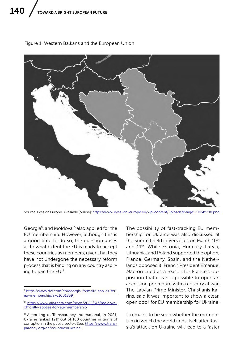

Figure 1: Western Balkans and the European Union

Source: Eyes on Europe. Available [online]: https://www.eyes-on-europe.eu/wp-content/uploads/image1-1024x788.pn

Georgia<sup>9</sup>, and Moldova<sup>10</sup> also applied for the EU membership. However, although this is a good time to do so, the question arises as to what extent the EU is ready to accept these countries as members, given that they have not undergone the necessary reform process that is binding on any country aspiring to join the EU<sup>11</sup>.

The possibility of fast-tracking EU membership for Ukraine was also discussed at the Summit held in Versailles on March 10<sup>th</sup> and 11<sup>th</sup>. While Estonia, Hungary, Latvia, Lithuania, and Poland supported the option, France, Germany, Spain, and the Netherlands opposed it. French President Emanuel Macron cited as a reason for France's opposition that it is not possible to open an accession procedure with a country at war. The Latvian Prime Minister, Christianis Karins, said it was important to show a clear, open door for EU membership for Ukraine.

It remains to be seen whether the momentum in which the world finds itself after Russia's attack on Ukraine will lead to a faster

<sup>9</sup> [https://www.dw.com/en/georgia-formally-applies-for](https://www.dw.com/en/georgia-formally-applies-for-eu-membership/a-61001839)[eu-membership/a-61001839](https://www.dw.com/en/georgia-formally-applies-for-eu-membership/a-61001839)

<sup>10</sup> [https://www.aljazeera.com/news/2022/3/3/moldova](https://www.aljazeera.com/news/2022/3/3/moldova-officially-applies-for-eu-membership)[officially-applies-for-eu-membership](https://www.aljazeera.com/news/2022/3/3/moldova-officially-applies-for-eu-membership)

<sup>&</sup>lt;sup>11</sup> According to Transparency International, in 2021, Ukraine ranked 121<sup>st</sup> out of 180 countries in terms of corruption in the public sector. See: [https://www.trans](https://www.transparency.org/en/countries/ukraine )[parency.org/en/countries/ukraine](https://www.transparency.org/en/countries/ukraine )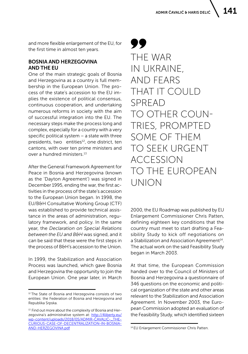and more flexible enlargement of the EU, for the first time in almost ten years.

### BOSNIA AND HERZEGOVINA AND THE EU

One of the main strategic goals of Bosnia and Herzegovina as a country is full membership in the European Union. The process of the state's accession to the EU implies the existence of political consensus, continuous cooperation, and undertaking numerous reforms in society with the aim of successful integration into the EU. The necessary steps make the process long and complex, especially for a country with a very specific political system – a state with three presidents, two entities<sup>12</sup>, one district, ten cantons, with over ten prime ministers and over a hundred ministers<sup>13</sup>

After the General Framework Agreement for Peace in Bosnia and Herzegovina (known as the 'Dayton Agreement') was signed in December 1995, ending the war, the first activities in the process of the state's accession to the European Union began. In 1998, the EU/B&H Consultative Working Group (CTF) was established to provide technical assistance in the areas of administration, regulatory framework, and policy. In the same year, the *Declaration on Special Relations between the EU and B&H* was signed, and it can be said that these were the first steps in the process of B&H's accession to the Union.

In 1999, the Stabilization and Association Process was launched, which gave Bosnia and Herzegovina the opportunity to join the European Union. One year later, in March

99 THE WAR IN UKRAINE, AND FEARS THAT IT COULD SPREAD TO OTHER COUN-TRIES, PROMPTED SOME OF THEM TO SEEK URGENT ACCESSION TO THE EUROPEAN UNION

2000, the EU Roadmap was published by EU Enlargement Commissioner Chris Patten, defining eighteen key conditions that the country must meet to start drafting a Feasibility Study to kick off negotiations on a Stabilization and Association Agreement<sup>14</sup>. The actual work on the said Feasibility Study began in March 2003.

At that time, the European Commission handed over to the Council of Ministers of Bosnia and Herzegovina a questionnaire of 346 questions on the economic and political organization of the state and other areas relevant to the Stabilization and Association Agreement. In November 2003, the European Commission adopted an evaluation of the Feasibility Study, which identified sixteen

<sup>&</sup>lt;sup>12</sup> The State of Bosnia and Herzegovina consists of two entities: the Federation of Bosnia and Herzegovina and Republika Srpska.

<sup>&</sup>lt;sup>13</sup> Find out more about the complexity of Bosnia and Herzegovina's administrative system at: [http://4liberty.eu/](http://4liberty.eu/wp-content/uploads/2018/05/ADMIR-ČAVALIĆ-_THE-CURIOUS-CASE-OF-DECENTRALIZATION-IN-BOSNIA-AND-HERZEGOVINA.pdf) [wp-content/uploads/2018/05/ADMIR-ČAVALIĆ-\\_THE-](http://4liberty.eu/wp-content/uploads/2018/05/ADMIR-ČAVALIĆ-_THE-CURIOUS-CASE-OF-DECENTRALIZATION-IN-BOSNIA-AND-HERZEGOVINA.pdf)[CURIOUS-CASE-OF-DECENTRALIZATION-IN-BOSNIA-](http://4liberty.eu/wp-content/uploads/2018/05/ADMIR-ČAVALIĆ-_THE-CURIOUS-CASE-OF-DECENTRALIZATION-IN-BOSNIA-AND-HERZEGOVINA.pdf)[AND-HERZEGOVINA.pdf](http://4liberty.eu/wp-content/uploads/2018/05/ADMIR-ČAVALIĆ-_THE-CURIOUS-CASE-OF-DECENTRALIZATION-IN-BOSNIA-AND-HERZEGOVINA.pdf)

<sup>14</sup> EU Enlargement Commissioner Chris Patten.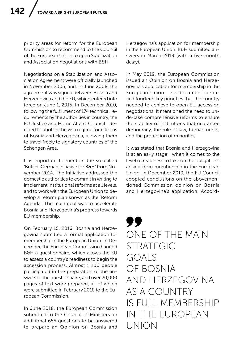priority areas for reform for the European Commission to recommend to the Council of the European Union to open Stabilization and Association negotiations with B&H.

Negotiations on a Stabilization and Association Agreement were officially launched in November 2005, and, in June 2008, the agreement was signed between Bosnia and Herzegovina and the EU, which entered into force on June 1, 2015. In December 2010, following the fulfillment of 174 technical requirements by the authorities in country, the EU Justice and Home Affairs Council decided to abolish the visa regime for citizens of Bosnia and Herzegovina, allowing them to travel freely to signatory countries of the Schengen Area.

It is important to mention the so-called 'British-German Initiative for B&H' from November 2014. The Initiative addressed the domestic authorities to commit in writing to implement institutional reforms at all levels, and to work with the European Union to develop a reform plan known as the 'Reform Agenda'. The main goal was to accelerate Bosnia and Herzegovina's progress towards EU membership.

On February 15, 2016, Bosnia and Herzegovina submitted a formal application for membership in the European Union. In December, the European Commission handed B&H a questionnaire, which allows the EU to assess a country's readiness to begin the accession process. Almost 1,200 people participated in the preparation of the answers to the questionnaire, and over 20,000 pages of text were prepared, all of which were submitted in February 2018 to the European Commission.

In June 2018, the European Commission submitted to the Council of Ministers an additional 655 questions to be answered to prepare an Opinion on Bosnia and

Herzegovina's application for membership in the European Union. B&H submitted answers in March 2019 (with a five-month delay).

In May 2019, the European Commission issued an Opinion on Bosnia and Herzegovina's application for membership in the European Union. The document identified fourteen key priorities that the country needed to achieve to open EU accession negotiations. It mentioned the need to undertake comprehensive reforms to ensure the stability of institutions that guarantee democracy, the rule of law, human rights, and the protection of minorities.

It was stated that Bosnia and Herzegovina is at an early stage when it comes to the level of readiness to take on the obligations arising from membership in the European Union. In December 2019, the EU Council adopted conclusions on the abovementioned Commission opinion on Bosnia and Herzegovina's application. Accord-

99 ONE OF THE MAIN STRATEGIC GOALS OF BOSNIA AND HERZEGOVINA AS A COUNTRY IS FULL MEMBERSHIP IN THE EUROPEAN UNION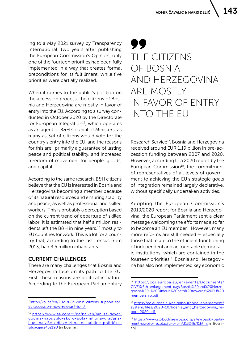ing to a May 2021 survey by Transparency International, two years after publishing the European Commission's Opinion, only one of the fourteen priorities had been fully implemented in a way that creates formal preconditions for its fulfillment, while five priorities were partially realized.

When it comes to the public's position on the accession process, the citizens of Bosnia and Herzegovina are mostly in favor of entry into the EU. According to a survey conducted in October 2020 by the Directorate for European Integration<sup>15</sup>, which operates as an agent of B&H Council of Ministers, as many as 3/4 of citizens would vote for the country's entry into the EU, and the reasons for this are primarily a guarantee of lasting peace and political stability, and increased freedom of movement for people, goods, and capital.

According to the same research, B&H citizens believe that the EU is interested in Bosnia and Herzegovina becoming a member because of its natural resources and ensuring stability and peace, as well as professional and skilled workers. This is probably a perception based on the current trend of departure of skilled labor. It is estimated that half a million residents left the B&H in nine years,<sup>16</sup> mostly to EU countries for work. This is a lot for a country that, according to the last census from 2013, had 3.5 million inhabitants.

## CURRENT CHALLENGES

There are many challenges that Bosnia and Herzegovina face on its path to the EU. First, these reasons are political in nature. According to the European Parliamentary

# 99 THE CITIZENS OF BOSNIA AND HERZEGOVINA ARE MOSTLY IN FAVOR OF ENTRY INTO THE EU

Research Service<sup>17</sup>, Bosnia and Herzegovina received around EUR 1.19 billion in pre-accession funding between 2007 and 2020. However, according to a 2020 report by the European Commission<sup>18</sup>, the commitment of representatives of all levels of government to achieving the EU's strategic goals of integration remained largely declarative, without specifically undertaken activities.

Adopting the European Commission's 2019/2020 report for Bosnia and Herzegovina, the European Parliament sent a clear message welcoming the efforts made so far to become an EU member. However, many more reforms are still needed – especially those that relate to the efficient functioning of independent and accountable democratic institutions, which are contained in the fourteen priorities<sup>19</sup>. Bosnia and Herzegovina has also not implemented key economic

<sup>15</sup> [http://vpi.ba/en/2021/08/12/bih-citizens-support-for](http://vpi.ba/en/2021/08/12/bih-citizens-support-for-eu-accession-how-relevant-is-it/ )[eu-accession-how-relevant-is-it/](http://vpi.ba/en/2021/08/12/bih-citizens-support-for-eu-accession-how-relevant-is-it/ ) 

<sup>16</sup> [https://www.aa.com.tr/ba/balkan/bih-za-devet](https://www.aa.com.tr/ba/balkan/bih-za-devet-godina-napustilo-skoro-pola-miliona-građana-ljudi-najviše-odlaze-zbog-nestabilne-političke-situacije/2452190)[godina-napustilo-skoro-pola-miliona-građana](https://www.aa.com.tr/ba/balkan/bih-za-devet-godina-napustilo-skoro-pola-miliona-građana-ljudi-najviše-odlaze-zbog-nestabilne-političke-situacije/2452190)[ljudi-najviše-odlaze-zbog-nestabilne-političke](https://www.aa.com.tr/ba/balkan/bih-za-devet-godina-napustilo-skoro-pola-miliona-građana-ljudi-najviše-odlaze-zbog-nestabilne-političke-situacije/2452190)[situacije/2452190](https://www.aa.com.tr/ba/balkan/bih-za-devet-godina-napustilo-skoro-pola-miliona-građana-ljudi-najviše-odlaze-zbog-nestabilne-političke-situacije/2452190) [in Bosnian]

<sup>17</sup> [https://cor.europa.eu/en/events/Documents/](https://cor.europa.eu/en/events/Documents/CIVEX/6th-enlargement-day/Bosnia%20and%20Herzegovina%20-%20Difficult%20path%20towards%20EU%20membership.pdf  ) [CIVEX/6th-enlargement-day/Bosnia%20and%20Herze](https://cor.europa.eu/en/events/Documents/CIVEX/6th-enlargement-day/Bosnia%20and%20Herzegovina%20-%20Difficult%20path%20towards%20EU%20membership.pdf  )[govina%20-%20Difficult%20path%20towards%20EU%20](https://cor.europa.eu/en/events/Documents/CIVEX/6th-enlargement-day/Bosnia%20and%20Herzegovina%20-%20Difficult%20path%20towards%20EU%20membership.pdf  ) [membership.pdf](https://cor.europa.eu/en/events/Documents/CIVEX/6th-enlargement-day/Bosnia%20and%20Herzegovina%20-%20Difficult%20path%20towards%20EU%20membership.pdf  ) 

<sup>18</sup> [https://ec.europa.eu/neighbourhood-enlargement/](https://ec.europa.eu/neighbourhood-enlargement/system/files/2020-10/bosnia_and_herzegovina_report_2020.pdf ) [system/files/2020-10/bosnia\\_and\\_herzegovina\\_re](https://ec.europa.eu/neighbourhood-enlargement/system/files/2020-10/bosnia_and_herzegovina_report_2020.pdf )[port\\_2020.pdf](https://ec.europa.eu/neighbourhood-enlargement/system/files/2020-10/bosnia_and_herzegovina_report_2020.pdf ) 

<sup>19</sup> [https://www.slobodnaevropa.org/a/evropski-parla](https://www.slobodnaevropa.org/a/evropski-parlament-usvojio-rezoluciju-o-bih/31324670.html)[ment-usvojio-rezoluciju-o-bih/31324670.html](https://www.slobodnaevropa.org/a/evropski-parlament-usvojio-rezoluciju-o-bih/31324670.html) [in Bosnian]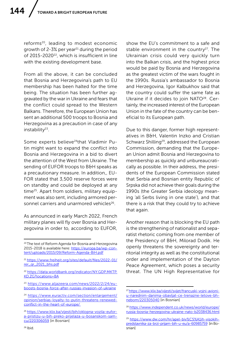reforms<sup>20</sup>, leading to modest economic growth of  $2-3\%$  per year<sup>21</sup> during the period of 2015-2020<sup>22</sup>, which is insufficient in line with the existing development base.

From all the above, it can be concluded that Bosnia and Herzegovina's path to EU membership has been halted for the time being. The situation has been further aggravated by the war in Ukraine and fears that the conflict could spread to the Western Balkans. Therefore, the European Union has sent an additional 500 troops to Bosnia and Herzegovina as a precaution in case of any instability $23$ .

Some experts believe<sup>24</sup>that Vladimir Putin might want to expand the conflict into Bosnia and Herzegovina in a bid to divert the attention of the West from Ukraine. The sending of EUFOR troops to B&H speaks as a precautionary measure. In addition,, EU-FOR stated that 3,500 reserve forces were on standby and could be deployed at any time25. Apart from soldiers, military equipment was also sent, including armored personnel carriers and unarmored vehicles<sup>26</sup>.

As announced in early March 2022, French military planes will fly over Bosnia and Herzegovina in order to, according to EUFOR, show the EU's commitment to a safe and stable environment in the country<sup>27</sup>. The Ukrainian crisis could very quickly turn into the Balkan crisis, and the highest price would be paid by Bosnia and Herzegovina as the greatest victim of the wars fought in the 1990s. Russia's ambassador to Bosnia and Herzegovina, Igor Kalbukhov said that the country could suffer the same fate as Ukraine if it decides to join NATO<sup>28</sup>. Certainly, the increased interest of the European Union in the fate of the country can be beneficial to its European path.

Due to this danger, former high representatives in B&H, Valentin Inzko and Cristian Schwarz Shilling<sup>29</sup>, addressed the European Commission, demanding that the European Union admit Bosnia and Herzegovina to membership as quickly and unbureaucratically as possible. In their address, the presidents of the European Commission stated that Serbia and Bosnian entity Republic of Srpska did not achieve their goals during the 1990s (the Greater Serbia ideology meaning 'all Serbs living in one state'), and that there is a risk that they could try to achieve that again.

Another reason that is blocking the EU path is the strengthening of nationalist and separatist rhetoric coming from one member of the Presidency of B&H, Milorad Dodik. He openly threatens the sovereignty and territorial integrity as well as the constitutional order and implementation of the Dayton Peace Agreement, which poses a security threat. The UN High Representative for

<sup>&</sup>lt;sup>20</sup> The text of Reform Agenda for Bosnia and Herzegovina 2015-2018 is available here: [https://europa.ba/wp-con](https://europa.ba/wp-content/uploads/2015/09/Reform-Agenda-BiH.pdf)[tent/uploads/2015/09/Reform-Agenda-BiH.pdf](https://europa.ba/wp-content/uploads/2015/09/Reform-Agenda-BiH.pdf)

<sup>21</sup> [https://www.freiheit.org/sites/default/files/2022-01/](https://www.freiheit.org/sites/default/files/2022-01/rer_qr_2021_bhs.pdf) [rer\\_qr\\_2021\\_bhs.pdf](https://www.freiheit.org/sites/default/files/2022-01/rer_qr_2021_bhs.pdf)

<sup>22</sup> [https://data.worldbank.org/indicator/NY.GDP.MKTP.](https://data.worldbank.org/indicator/NY.GDP.MKTP.KD.ZG?locations=BA) [KD.ZG?locations=BA](https://data.worldbank.org/indicator/NY.GDP.MKTP.KD.ZG?locations=BA)

<sup>23</sup> [https://www.aljazeera.com/news/2022/2/24/eu](https://www.aljazeera.com/news/2022/2/24/eu-boosts-bosnia-force-after-russias-invasion-of-ukraine)[boosts-bosnia-force-after-russias-invasion-of-ukraine](https://www.aljazeera.com/news/2022/2/24/eu-boosts-bosnia-force-after-russias-invasion-of-ukraine)

<sup>24</sup> [https://www.euractiv.com/section/enlargement/](https://www.euractiv.com/section/enlargement/opinion/serbias-loyalty-to-putin-threatens-renewed-conflict-in-the-heart-of-europe/ ) [opinion/serbias-loyalty-to-putin-threatens-renewed](https://www.euractiv.com/section/enlargement/opinion/serbias-loyalty-to-putin-threatens-renewed-conflict-in-the-heart-of-europe/ )[conflict-in-the-heart-of-europe/](https://www.euractiv.com/section/enlargement/opinion/serbias-loyalty-to-putin-threatens-renewed-conflict-in-the-heart-of-europe/ ) 

<sup>&</sup>lt;sup>25</sup> [https://www.klix.ba/vijesti/bih/oklopna-vozila-eufor](https://www.klix.ba/vijesti/bih/oklopna-vozila-eufor-a-pristizu-u-bih-preko-prijelaza-u-bosanskom-samcu/220306059)[a-pristizu-u-bih-preko-prijelaza-u-bosanskom-sam](https://www.klix.ba/vijesti/bih/oklopna-vozila-eufor-a-pristizu-u-bih-preko-prijelaza-u-bosanskom-samcu/220306059)[cu/220306059](https://www.klix.ba/vijesti/bih/oklopna-vozila-eufor-a-pristizu-u-bih-preko-prijelaza-u-bosanskom-samcu/220306059) [in Bosnian]

<sup>27</sup> [https://www.klix.ba/vijesti/svijet/francuski-vojni-avioni](https://www.klix.ba/vijesti/svijet/francuski-vojni-avioni-u-narednim-danima-obavljat-ce-trenazne-letove-bh-nebom/220305040)[u-narednim-danima-obavljat-ce-trenazne-letove-bh](https://www.klix.ba/vijesti/svijet/francuski-vojni-avioni-u-narednim-danima-obavljat-ce-trenazne-letove-bh-nebom/220305040)[nebom/220305040](https://www.klix.ba/vijesti/svijet/francuski-vojni-avioni-u-narednim-danima-obavljat-ce-trenazne-letove-bh-nebom/220305040) [in Bosnian]

<sup>28</sup> [https://www.independent.co.uk/news/world/europe/](https://www.independent.co.uk/news/world/europe/russia-bosnia-herzegovina-ukraine-nato-b2038436.html ) [russia-bosnia-herzegovina-ukraine-nato-b2038436.html](https://www.independent.co.uk/news/world/europe/russia-bosnia-herzegovina-ukraine-nato-b2038436.html ) 

<sup>&</sup>lt;sup>29</sup> [https://www.dw.com/hr/apel-biv%C5%A1ih-visokih](https://www.dw.com/hr/apel-biv%C5%A1ih-visokih-predstavnika-za-brzi-prijam-bih-u-eu/a-60985759)[predstavnika-za-brzi-prijam-bih-u-eu/a-60985759](https://www.dw.com/hr/apel-biv%C5%A1ih-visokih-predstavnika-za-brzi-prijam-bih-u-eu/a-60985759) [in Bosnian]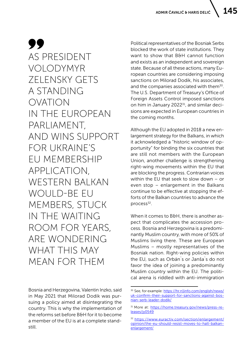99 AS PRESIDENT VOLODYMYR ZELENSKY GETS A STANDING OVATION IN THE EUROPEAN PARLIAMENT, AND WINS SUPPORT FOR UKRAINE'S EU MEMBERSHIP APPLICATION, WESTERN BALKAN WOULD-BE FU MEMBERS, STUCK IN THE WAITING ROOM FOR YEARS, ARE WONDERING WHAT THIS MAY MEAN FOR THEM

Bosnia and Herzegovina, Valentin Inzko, said in May 2021 that Milorad Dodik was pursuing a policy aimed at disintegrating the country. This is why the implementation of the reforms set before B&H for it to become a member of the EU is at a complete standstill.

Political representatives of the Bosniak Serbs blocked the work of state institutions. They want to show that B&H cannot function and exists as an independent and sovereign state. Because of all these actions, many European countries are considering imposing sanctions on Milorad Dodik, his associates, and the companies associated with them<sup>30</sup>. The U.S. Department of Treasury's Office of Foreign Assets Control imposed sanctions on him in January 2022<sup>31</sup>, and similar decisions are expected in European countries in the coming months.

Although the EU adopted in 2018 a new enlargement strategy for the Balkans, in which it acknowledged a "historic window of opportunity" for binding the six countries that are still not members with the European Union, another challenge is strengthening right-wing movements within the EU that are blocking the progress. Contrarian voices within the EU that seek to slow down – or even stop – enlargement in the Balkans continue to be effective at stopping the efforts of the Balkan countries to advance the process $32$ .

When it comes to B&H, there is another aspect that complicates the accession process. Bosnia and Herzegovina is a predominantly Muslim country, with more of 50% of Muslims living there. These are European Muslims – mostly representatives of the Bosniak nation. Right-wing policies within the EU, such as Orbán`s or Janša`s do not favor the idea of joining a predominantly Muslim country within the EU. The political arena is riddled with anti-immigration

<sup>30</sup> See, for example: [https://hr.n1info.com/english/news/](https://hr.n1info.com/english/news/uk-confirm-their-support-for-sanctions-against-bosnian-serb-leader-dodik/) [uk-confirm-their-support-for-sanctions-against-bos](https://hr.n1info.com/english/news/uk-confirm-their-support-for-sanctions-against-bosnian-serb-leader-dodik/)[nian-serb-leader-dodik/](https://hr.n1info.com/english/news/uk-confirm-their-support-for-sanctions-against-bosnian-serb-leader-dodik/)

<sup>31</sup> More at: [https://home.treasury.gov/news/press-re](https://home.treasury.gov/news/press-releases/jy0549)[leases/jy0549](https://home.treasury.gov/news/press-releases/jy0549)

<sup>32</sup> [https://www.euractiv.com/section/enlargement/](https://www.euractiv.com/section/enlargement/opinion/the-eu-should-resist-moves-to-halt-balkan-enlargement/) [opinion/the-eu-should-resist-moves-to-halt-balkan](https://www.euractiv.com/section/enlargement/opinion/the-eu-should-resist-moves-to-halt-balkan-enlargement/)[enlargement/](https://www.euractiv.com/section/enlargement/opinion/the-eu-should-resist-moves-to-halt-balkan-enlargement/)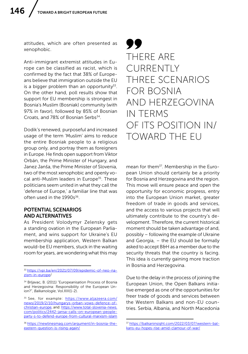attitudes, which are often presented as xenophobic.

Anti-immigrant extremist attitudes in Europe can be classified as racist, which is confirmed by the fact that 38% of Europeans believe that immigration outside the EU is a bigger problem than an opportunity $33$ . On the other hand, poll results show that support for EU membership is strongest in Bosnia's Muslim (Bosniak) community (with 97% in favor), followed by 85% of Bosnian Croats, and 78% of Bosnian Serbs<sup>34</sup>.

Dodik's renewed, purposeful and increased usage of the term 'Muslim' aims to reduce the entire Bosniak people to a religious group only, and portray them as foreigners in Europe. He finds open support from Viktor Orbán, the Prime Minister of Hungary, and Janez Janša, the Prime Minister of Slovenia, two of the most xenophobic and openly vocal anti-Muslim leaders in Europe<sup>35</sup>. These politicians seem united in what they call the 'defense of Europe,' a familiar line that was often used in the 1990s<sup>36</sup>

## POTENTIAL SCENARIOS AND ALTERNATIVES

As President Volodymyr Zelensky gets a standing ovation in the European Parliament, and wins support for Ukraine's EU membership application, Western Balkan would-be EU members, stuck in the waiting room for years, are wondering what this may

## TT THERE ARE CURRENTLY THREE SCENARIOS FOR BOSNIA AND HERZEGOVINA IN TERMS OF ITS POSITION IN/ TOWARD THE EU

mean for them<sup>37</sup>. Membership in the European Union should certainly be a priority for Bosnia and Herzegovina and the region. This move will ensure peace and open the opportunity for economic progress, entry into the European Union market, greater freedom of trade in goods and services, and the access to various projects that will ultimately contribute to the country's development. Therefore, the current historical moment should be taken advantage of and, possibly – following the example of Ukraine and Georgia, – the EU should be formally asked to accept B&H as a member due to the security threats that the country is facing. This idea is currently gaining more traction in Bosnia and Herzegovina.

Due to the delay in the process of joining the European Union, the Open Balkans initiative emerged as one of the opportunities for freer trade of goods and services between the Western Balkans and non-EU countries. Serbia, Albania, and North Macedonia

<sup>33</sup> [https://vpi.ba/en/2021/07/09/epidemic-of-neo-na](https://vpi.ba/en/2021/07/09/epidemic-of-neo-nazism-in-europe)[zism-in-europe/](https://vpi.ba/en/2021/07/09/epidemic-of-neo-nazism-in-europe)

<sup>34</sup> Brljavac, B. (2011) "Europeanisation Process of Bosnia and Herzegovina: Responsibility of the European Union?", *Balkanologie*, Vol.XIII(1-2).

<sup>&</sup>lt;sup>35</sup> See, for example: [https://www.aljazeera.com/](https://www.aljazeera.com/news/2019/2/10/hungarys-orban-vows-defence-of-christian-europe) [news/2019/2/10/hungarys-orban-vows-defence-of](https://www.aljazeera.com/news/2019/2/10/hungarys-orban-vows-defence-of-christian-europe)[christian-europe,](https://www.aljazeera.com/news/2019/2/10/hungarys-orban-vows-defence-of-christian-europe) and: [https://www.total-slovenia-news.](https://www.total-slovenia-news.com/politics/2442-jansa-calls-on-european-people-party-s-to-defend-europe-from-cultural-marxism-islam) [com/politics/2442-jansa-calls-on-european-people](https://www.total-slovenia-news.com/politics/2442-jansa-calls-on-european-people-party-s-to-defend-europe-from-cultural-marxism-islam)[party-s-to-defend-europe-from-cultural-marxism-islam](https://www.total-slovenia-news.com/politics/2442-jansa-calls-on-european-people-party-s-to-defend-europe-from-cultural-marxism-islam)

<sup>36</sup> [https://newlinesmag.com/argument/in-bosnia-the](https://newlinesmag.com/argument/in-bosnia-the-eastern-question-is-rising-again/)[eastern-question-is-rising-again/](https://newlinesmag.com/argument/in-bosnia-the-eastern-question-is-rising-again/)

<sup>37</sup> [https://balkaninsight.com/2022/03/07/western-bal](https://balkaninsight.com/2022/03/07/western-balkans-eu-hopes-rise-amid-clamour-of-war/)[kans-eu-hopes-rise-amid-clamour-of-war/](https://balkaninsight.com/2022/03/07/western-balkans-eu-hopes-rise-amid-clamour-of-war/)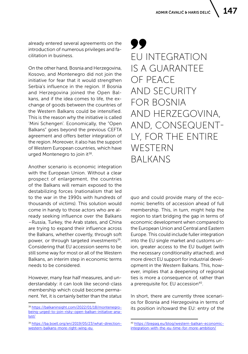already entered several agreements on the introduction of numerous privileges and facilitation in business.

On the other hand, Bosnia and Herzegovina, Kosovo, and Montenegro did not join the initiative for fear that it would strengthen Serbia's influence in the region. If Bosnia and Herzegovina joined the Open Balkans, and if the idea comes to life, the exchange of goods between the countries of the Western Balkans could be intensified. This is the reason why the initiative is called 'Mini Schengen'. Economically, the "Open Balkans" goes beyond the previous CEFTA agreement and offers better integration of the region. Moreover, it also has the support of Western European countries, which have urged Montenegro to join it $^{38}$ .

Another scenario is economic integration with the European Union. Without a clear prospect of enlargement, the countries of the Balkans will remain exposed to the destabilizing forces (nationalism that led to the war in the 1990s with hundreds of thousands of victims). This solution would come in handy to those actors who are already seeking influence over the Balkans –Russia, Turkey, the Arab states, and China are trying to expand their influence across the Balkans, whether covertly, through soft power, or through targeted investments<sup>39</sup>. Considering that EU accession seems to be still some way for most or all of the Western Balkans, an interim step in economic terms needs to be considered.

However, many fear half measures, and understandably: it can look like second-class membership which could become permanent. Yet, it is certainly better than the *status* 

99 EU INTEGRATION IS A GUARANTEE OF PEACE AND SECURITY FOR BOSNIA AND HERZEGOVINA, AND, CONSEQUENT-LY, FOR THE ENTIRE WESTERN BALKANS

*quo* and could provide many of the economic benefits of accession ahead of full membership. This, in turn, might help the region to start bridging the gap in terms of economic development when compared to the European Union and Central and Eastern Europe. This could include fuller integration into the EU single market and customs union, greater access to the EU budget (with the necessary conditionality attached), and more direct EU support for industrial development in the Western Balkans. This, however, implies that a deepening of regional ties is more a consequence of, rather than a prerequisite for, EU accession<sup>40</sup>.

In short, there are currently three scenarios for Bosnia and Herzegovina in terms of its position in/toward the EU: entry of the

<sup>38</sup> [https://balkaninsight.com/2022/01/18/montenegro](https://balkaninsight.com/2022/01/18/montenegro-being-urged-to-join-risky-open-balkan-initiative-analyst/)[being-urged-to-join-risky-open-balkan-initiative-ana](https://balkaninsight.com/2022/01/18/montenegro-being-urged-to-join-risky-open-balkan-initiative-analyst/)[lyst/](https://balkaninsight.com/2022/01/18/montenegro-being-urged-to-join-risky-open-balkan-initiative-analyst/)

<sup>39</sup> [https://ba.boell.org/en/2019/05/23/what-direction](https://ba.boell.org/en/2019/05/23/what-direction-western-balkans-more-right-wing-eu )[western-balkans-more-right-wing-eu](https://ba.boell.org/en/2019/05/23/what-direction-western-balkans-more-right-wing-eu ) 

<sup>40</sup> [https://biepag.eu/blog/western-balkan-economic](https://biepag.eu/blog/western-balkan-economic-integration-with-the-eu-time-for-more-ambition/)[integration-with-the-eu-time-for-more-ambition/](https://biepag.eu/blog/western-balkan-economic-integration-with-the-eu-time-for-more-ambition/)